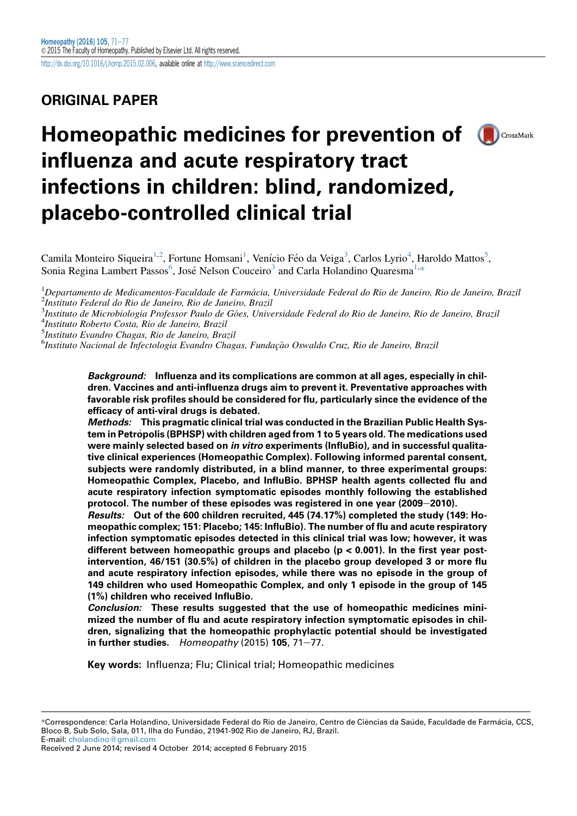# ORIGINAL PAPER

# Homeopathic medicines for prevention of **O**CrossMark influenza and acute respiratory tract infections in children: blind, randomized, placebo-controlled clinical trial



<sup>1</sup>Departamento de Medicamentos-Faculdade de Farmácia, Universidade Federal do Rio de Janeiro, Rio de Janeiro, Brazil<br><sup>2</sup>Instituto Federal do Rio de Janeiro, Rio de Janeiro, Brazil Instituto Federal do Rio de Janeiro, Rio de Janeiro, Brazil

<sup>3</sup>Instituto de Microbiologia Professor Paulo de Góes, Universidade Federal do Rio de Janeiro, Rio de Janeiro, Brazil<br><sup>4</sup>Instituto Boberto Costa, Rio de Janeiro, Brazil Instituto Roberto Costa, Rio de Janeiro, Brazil

<sup>5</sup>Instituto Evandro Chagas, Rio de Janeiro, Brazil

<sup>6</sup>Instituto Nacional de Infectologia Evandro Chagas, Fundação Oswaldo Cruz, Rio de Janeiro, Brazil

Background: Influenza and its complications are common at all ages, especially in children. Vaccines and anti-influenza drugs aim to prevent it. Preventative approaches with favorable risk profiles should be considered for flu, particularly since the evidence of the efficacy of anti-viral drugs is debated.

Methods: This pragmatic clinical trial was conducted in the Brazilian Public Health System in Petropolis (BPHSP) with children aged from 1 to 5 years old. The medications used were mainly selected based on *in vitro* experiments (InfluBio), and in successful qualitative clinical experiences (Homeopathic Complex). Following informed parental consent, subjects were randomly distributed, in a blind manner, to three experimental groups: Homeopathic Complex, Placebo, and InfluBio. BPHSP health agents collected flu and acute respiratory infection symptomatic episodes monthly following the established protocol. The number of these episodes was registered in one year (2009-2010).

Results: Out of the 600 children recruited, 445 (74.17%) completed the study (149: Homeopathic complex; 151: Placebo; 145: InfluBio). The number of flu and acute respiratory infection symptomatic episodes detected in this clinical trial was low; however, it was different between homeopathic groups and placebo ( $p < 0.001$ ). In the first year postintervention, 46/151 (30.5%) of children in the placebo group developed 3 or more flu and acute respiratory infection episodes, while there was no episode in the group of 149 children who used Homeopathic Complex, and only 1 episode in the group of 145 (1%) children who received InfluBio.

Conclusion: These results suggested that the use of homeopathic medicines minimized the number of flu and acute respiratory infection symptomatic episodes in children, signalizing that the homeopathic prophylactic potential should be investigated in further studies. Homeopathy (2015) 105, 71-77.

Key words: Influenza; Flu; Clinical trial; Homeopathic medicines

Received 2 June 2014; revised 4 October 2014; accepted 6 February 2015

<sup>\*</sup>Correspondence: Carla Holandino, Universidade Federal do Rio de Janeiro, Centro de Ciências da Saúde, Faculdade de Farmácia, CCS, Bloco B, Sub Solo, Sala, 011, Ilha do Fundao, 21941-902 Rio de Janeiro, RJ, Brazil. ~ E-mail: [cholandino@gmail.com](mailto:cholandino@gmail.com)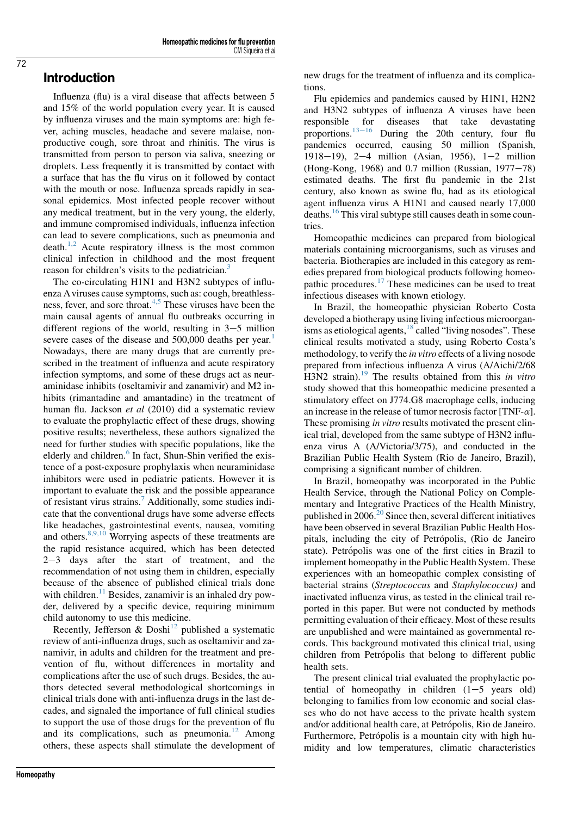## Introduction

Influenza (flu) is a viral disease that affects between 5 and 15% of the world population every year. It is caused by influenza viruses and the main symptoms are: high fever, aching muscles, headache and severe malaise, nonproductive cough, sore throat and rhinitis. The virus is transmitted from person to person via saliva, sneezing or droplets. Less frequently it is transmitted by contact with a surface that has the flu virus on it followed by contact with the mouth or nose. Influenza spreads rapidly in seasonal epidemics. Most infected people recover without any medical treatment, but in the very young, the elderly, and immune compromised individuals, influenza infection can lead to severe complications, such as pneumonia and death.<sup>[1,2](#page-6-0)</sup> Acute respiratory illness is the most common clinical infection in childhood and the most frequent reason for children's visits to the pediatrician.<sup>[3](#page-6-0)</sup>

The co-circulating H1N1 and H3N2 subtypes of influenza A viruses cause symptoms, such as: cough, breathlessness, fever, and sore throat.[4,5](#page-6-0) These viruses have been the main causal agents of annual flu outbreaks occurring in different regions of the world, resulting in  $3-5$  million severe cases of the disease and 500,000 deaths per year.<sup>[1](#page-6-0)</sup> Nowadays, there are many drugs that are currently prescribed in the treatment of influenza and acute respiratory infection symptoms, and some of these drugs act as neuraminidase inhibits (oseltamivir and zanamivir) and M2 inhibits (rimantadine and amantadine) in the treatment of human flu. Jackson et al (2010) did a systematic review to evaluate the prophylactic effect of these drugs, showing positive results; nevertheless, these authors signalized the need for further studies with specific populations, like the elderly and children. $6$  In fact, Shun-Shin verified the existence of a post-exposure prophylaxis when neuraminidase inhibitors were used in pediatric patients. However it is important to evaluate the risk and the possible appearance of resistant virus strains.[7](#page-6-0) Additionally, some studies indicate that the conventional drugs have some adverse effects like headaches, gastrointestinal events, nausea, vomiting and others.  $8,9,10$  Worrying aspects of these treatments are the rapid resistance acquired, which has been detected  $2-3$  days after the start of treatment, and the recommendation of not using them in children, especially because of the absence of published clinical trials done with children.<sup>[11](#page-6-0)</sup> Besides, zanamivir is an inhaled dry powder, delivered by a specific device, requiring minimum child autonomy to use this medicine.

Recently, Jefferson & Doshi<sup>[12](#page-6-0)</sup> published a systematic review of anti-influenza drugs, such as oseltamivir and zanamivir, in adults and children for the treatment and prevention of flu, without differences in mortality and complications after the use of such drugs. Besides, the authors detected several methodological shortcomings in clinical trials done with anti-influenza drugs in the last decades, and signaled the importance of full clinical studies to support the use of those drugs for the prevention of flu and its complications, such as pneumonia.<sup>[12](#page-6-0)</sup> Among others, these aspects shall stimulate the development of

Homeopathy

new drugs for the treatment of influenza and its complications.

Flu epidemics and pandemics caused by H1N1, H2N2 and H3N2 subtypes of influenza A viruses have been responsible for diseases that take devastating proportions.<sup>13-[16](#page-6-0)</sup> During the 20th century, four flu pandemics occurred, causing 50 million (Spanish, 1918–19), 2–4 million (Asian, 1956),  $1-2$  million (Hong-Kong, 1968) and  $0.7$  million (Russian, 1977 $-78$ ) estimated deaths. The first flu pandemic in the 21st century, also known as swine flu, had as its etiological agent influenza virus A H1N1 and caused nearly 17,000 deaths.<sup>[16](#page-6-0)</sup> This viral subtype still causes death in some countries.

Homeopathic medicines can prepared from biological materials containing microorganisms, such as viruses and bacteria. Biotherapies are included in this category as remedies prepared from biological products following homeopathic procedures.[17](#page-6-0) These medicines can be used to treat infectious diseases with known etiology.

In Brazil, the homeopathic physician Roberto Costa developed a biotherapy using living infectious microorgan-isms as etiological agents,<sup>[18](#page-6-0)</sup> called "living nosodes". These clinical results motivated a study, using Roberto Costa's methodology, to verify the in vitro effects of a living nosode prepared from infectious influenza A virus (A/Aichi/2/68 H3N2 strain).<sup>[19](#page-6-0)</sup> The results obtained from this in vitro study showed that this homeopathic medicine presented a stimulatory effect on J774.G8 macrophage cells, inducing an increase in the release of tumor necrosis factor [TNF- $\alpha$ ]. These promising *in vitro* results motivated the present clinical trial, developed from the same subtype of H3N2 influenza virus A (A/Victoria/3/75), and conducted in the Brazilian Public Health System (Rio de Janeiro, Brazil), comprising a significant number of children.

In Brazil, homeopathy was incorporated in the Public Health Service, through the National Policy on Complementary and Integrative Practices of the Health Ministry, published in  $2006$ <sup>20</sup> Since then, several different initiatives have been observed in several Brazilian Public Health Hospitals, including the city of Petropolis, (Rio de Janeiro state). Petrópolis was one of the first cities in Brazil to implement homeopathy in the Public Health System. These experiences with an homeopathic complex consisting of bacterial strains (Streptococcus and Staphylococcus) and inactivated influenza virus, as tested in the clinical trail reported in this paper. But were not conducted by methods permitting evaluation of their efficacy. Most of these results are unpublished and were maintained as governmental records. This background motivated this clinical trial, using children from Petrópolis that belong to different public health sets.

The present clinical trial evaluated the prophylactic potential of homeopathy in children  $(1-5$  years old) belonging to families from low economic and social classes who do not have access to the private health system and/or additional health care, at Petrópolis, Rio de Janeiro. Furthermore, Petrópolis is a mountain city with high humidity and low temperatures, climatic characteristics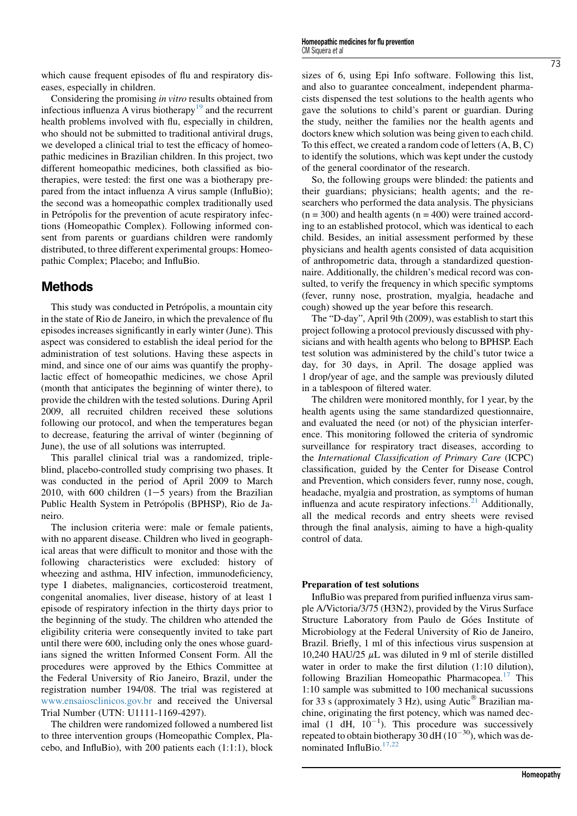which cause frequent episodes of flu and respiratory diseases, especially in children.

Considering the promising in vitro results obtained from infectious influenza A virus biotherapy<sup>[19](#page-6-0)</sup> and the recurrent health problems involved with flu, especially in children, who should not be submitted to traditional antiviral drugs, we developed a clinical trial to test the efficacy of homeopathic medicines in Brazilian children. In this project, two different homeopathic medicines, both classified as biotherapies, were tested: the first one was a biotherapy prepared from the intact influenza A virus sample (InfluBio); the second was a homeopathic complex traditionally used in Petrópolis for the prevention of acute respiratory infections (Homeopathic Complex). Following informed consent from parents or guardians children were randomly distributed, to three different experimental groups: Homeopathic Complex; Placebo; and InfluBio.

# Methods

This study was conducted in Petrópolis, a mountain city in the state of Rio de Janeiro, in which the prevalence of flu episodes increases significantly in early winter (June). This aspect was considered to establish the ideal period for the administration of test solutions. Having these aspects in mind, and since one of our aims was quantify the prophylactic effect of homeopathic medicines, we chose April (month that anticipates the beginning of winter there), to provide the children with the tested solutions. During April 2009, all recruited children received these solutions following our protocol, and when the temperatures began to decrease, featuring the arrival of winter (beginning of June), the use of all solutions was interrupted.

This parallel clinical trial was a randomized, tripleblind, placebo-controlled study comprising two phases. It was conducted in the period of April 2009 to March 2010, with 600 children  $(1-5$  years) from the Brazilian Public Health System in Petrópolis (BPHSP), Rio de Janeiro.

The inclusion criteria were: male or female patients, with no apparent disease. Children who lived in geographical areas that were difficult to monitor and those with the following characteristics were excluded: history of wheezing and asthma, HIV infection, immunodeficiency, type I diabetes, malignancies, corticosteroid treatment, congenital anomalies, liver disease, history of at least 1 episode of respiratory infection in the thirty days prior to the beginning of the study. The children who attended the eligibility criteria were consequently invited to take part until there were 600, including only the ones whose guardians signed the written Informed Consent Form. All the procedures were approved by the Ethics Committee at the Federal University of Rio Janeiro, Brazil, under the registration number 194/08. The trial was registered at [www.ensaiosclinicos.gov.br](http://www.ensaiosclinicos.gov.br) and received the Universal Trial Number (UTN: U1111-1169-4297).

The children were randomized followed a numbered list to three intervention groups (Homeopathic Complex, Placebo, and InfluBio), with 200 patients each (1:1:1), block sizes of 6, using Epi Info software. Following this list, and also to guarantee concealment, independent pharmacists dispensed the test solutions to the health agents who gave the solutions to child's parent or guardian. During the study, neither the families nor the health agents and doctors knew which solution was being given to each child. To this effect, we created a random code of letters (A, B, C) to identify the solutions, which was kept under the custody of the general coordinator of the research.

So, the following groups were blinded: the patients and their guardians; physicians; health agents; and the researchers who performed the data analysis. The physicians  $(n = 300)$  and health agents  $(n = 400)$  were trained according to an established protocol, which was identical to each child. Besides, an initial assessment performed by these physicians and health agents consisted of data acquisition of anthropometric data, through a standardized questionnaire. Additionally, the children's medical record was consulted, to verify the frequency in which specific symptoms (fever, runny nose, prostration, myalgia, headache and cough) showed up the year before this research.

The "D-day", April 9th (2009), was establish to start this project following a protocol previously discussed with physicians and with health agents who belong to BPHSP. Each test solution was administered by the child's tutor twice a day, for 30 days, in April. The dosage applied was 1 drop/year of age, and the sample was previously diluted in a tablespoon of filtered water.

The children were monitored monthly, for 1 year, by the health agents using the same standardized questionnaire, and evaluated the need (or not) of the physician interference. This monitoring followed the criteria of syndromic surveillance for respiratory tract diseases, according to the International Classification of Primary Care (ICPC) classification, guided by the Center for Disease Control and Prevention, which considers fever, runny nose, cough, headache, myalgia and prostration, as symptoms of human influenza and acute respiratory infections. $21$  Additionally, all the medical records and entry sheets were revised through the final analysis, aiming to have a high-quality control of data.

## Preparation of test solutions

InfluBio was prepared from purified influenza virus sample A/Victoria/3/75 (H3N2), provided by the Virus Surface Structure Laboratory from Paulo de Góes Institute of Microbiology at the Federal University of Rio de Janeiro, Brazil. Briefly, 1 ml of this infectious virus suspension at 10,240 HAU/25  $\mu$ L was diluted in 9 ml of sterile distilled water in order to make the first dilution (1:10 dilution), following Brazilian Homeopathic Pharmacopea.<sup>17</sup> This 1:10 sample was submitted to 100 mechanical sucussions for 33 s (approximately 3 Hz), using Autic $^{\circledR}$  Brazilian machine, originating the first potency, which was named decimal (1 dH,  $10^{-1}$ ). This procedure was successively repeated to obtain biotherapy 30 dH  $(10^{-30})$ , which was de-nominated InfluBio.<sup>[17,22](#page-6-0)</sup>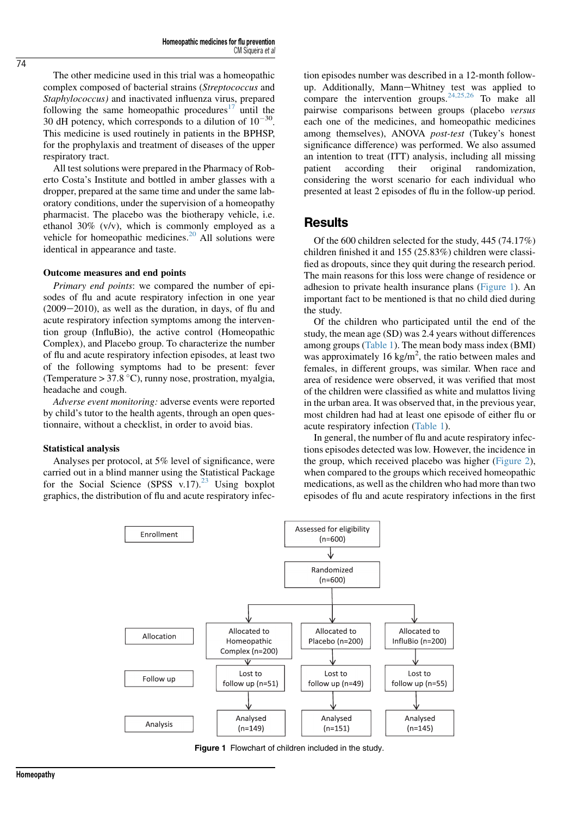The other medicine used in this trial was a homeopathic complex composed of bacterial strains (Streptococcus and Staphylococcus) and inactivated influenza virus, prepared following the same homeopathic procedures<sup>[17](#page-6-0)</sup> until the 30 dH potency, which corresponds to a dilution of  $10^{-30}$ . This medicine is used routinely in patients in the BPHSP, for the prophylaxis and treatment of diseases of the upper respiratory tract.

All test solutions were prepared in the Pharmacy of Roberto Costa's Institute and bottled in amber glasses with a dropper, prepared at the same time and under the same laboratory conditions, under the supervision of a homeopathy pharmacist. The placebo was the biotherapy vehicle, i.e. ethanol 30% (v/v), which is commonly employed as a vehicle for homeopathic medicines.<sup>[20](#page-6-0)</sup> All solutions were identical in appearance and taste.

#### Outcome measures and end points

Primary end points: we compared the number of episodes of flu and acute respiratory infection in one year  $(2009-2010)$ , as well as the duration, in days, of flu and acute respiratory infection symptoms among the intervention group (InfluBio), the active control (Homeopathic Complex), and Placebo group. To characterize the number of flu and acute respiratory infection episodes, at least two of the following symptoms had to be present: fever (Temperature  $> 37.8$  °C), runny nose, prostration, myalgia, headache and cough.

Adverse event monitoring: adverse events were reported by child's tutor to the health agents, through an open questionnaire, without a checklist, in order to avoid bias.

#### Statistical analysis

Analyses per protocol, at 5% level of significance, were carried out in a blind manner using the Statistical Package for the Social Science (SPSS v.17).<sup>[23](#page-6-0)</sup> Using boxplot graphics, the distribution of flu and acute respiratory infection episodes number was described in a 12-month followup. Additionally, Mann-Whitney test was applied to compare the intervention groups.  $24,25,26$  To make all pairwise comparisons between groups (placebo versus each one of the medicines, and homeopathic medicines among themselves), ANOVA post-test (Tukey's honest significance difference) was performed. We also assumed an intention to treat (ITT) analysis, including all missing patient according their original randomization, considering the worst scenario for each individual who presented at least 2 episodes of flu in the follow-up period.

### **Results**

Of the 600 children selected for the study, 445 (74.17%) children finished it and 155 (25.83%) children were classified as dropouts, since they quit during the research period. The main reasons for this loss were change of residence or adhesion to private health insurance plans (Figure 1). An important fact to be mentioned is that no child died during the study.

Of the children who participated until the end of the study, the mean age (SD) was 2.4 years without differences among groups ([Table 1\)](#page-4-0). The mean body mass index (BMI) was approximately 16 kg/m<sup>2</sup>, the ratio between males and females, in different groups, was similar. When race and area of residence were observed, it was verified that most of the children were classified as white and mulattos living in the urban area. It was observed that, in the previous year, most children had had at least one episode of either flu or acute respiratory infection [\(Table 1](#page-4-0)).

In general, the number of flu and acute respiratory infections episodes detected was low. However, the incidence in the group, which received placebo was higher ([Figure 2\)](#page-4-0), when compared to the groups which received homeopathic medications, as well as the children who had more than two episodes of flu and acute respiratory infections in the first



Figure 1 Flowchart of children included in the study.

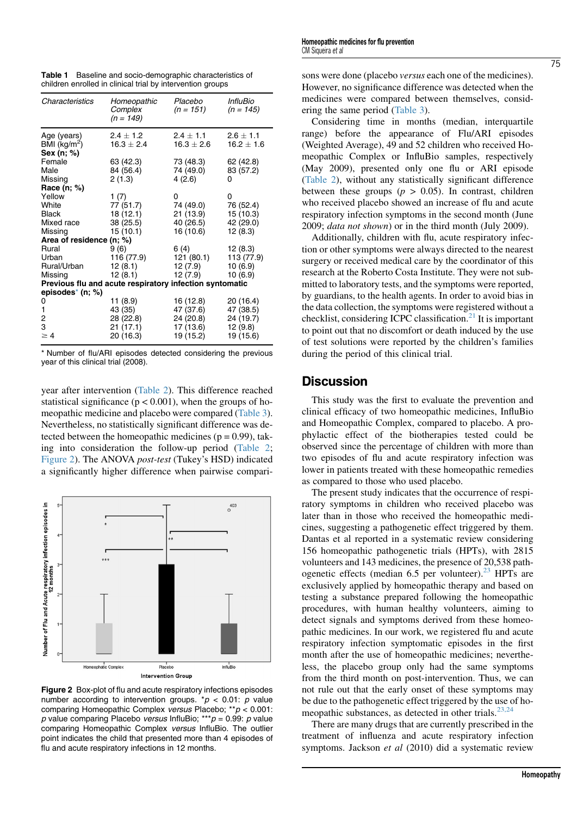<span id="page-4-0"></span>Table 1 Baseline and socio-demographic characteristics of children enrolled in clinical trial by intervention groups

| Characteristics                                         | Homeopathic<br>Complex<br>$(n = 149)$ | Placebo<br>$(n = 151)$ | <i><b>InfluBio</b></i><br>$(n = 145)$ |  |  |  |  |
|---------------------------------------------------------|---------------------------------------|------------------------|---------------------------------------|--|--|--|--|
| Age (years)                                             | $2.4 + 1.2$                           | $2.4 + 1.1$            | $2.6 + 1.1$                           |  |  |  |  |
| $\overline{BM}$ (kg/m <sup>2</sup> )                    | $16.3 \pm 2.4$                        | $16.3 \pm 2.6$         | $16.2 \pm 1.6$                        |  |  |  |  |
| Sex (n; %)                                              |                                       |                        |                                       |  |  |  |  |
| Female                                                  | 63 (42.3)                             | 73 (48.3)              | 62 (42.8)                             |  |  |  |  |
| Male                                                    | 84 (56.4)                             | 74 (49.0)              | 83 (57.2)                             |  |  |  |  |
| Missing                                                 | 2(1.3)                                | 4(2.6)                 | 0                                     |  |  |  |  |
| Race (n; %)                                             |                                       |                        |                                       |  |  |  |  |
| Yellow                                                  | 1 $(7)$                               | 0                      | 0                                     |  |  |  |  |
| White                                                   | 77 (51.7)                             | 74 (49.0)              | 76 (52.4)                             |  |  |  |  |
| <b>Black</b>                                            | 18 (12.1)                             | 21 (13.9)              | 15 (10.3)                             |  |  |  |  |
| Mixed race                                              | 38 (25.5)                             | 40 (26.5)              | 42 (29.0)                             |  |  |  |  |
| Missing                                                 | 15(10.1)                              | 16 (10.6)              | 12(8.3)                               |  |  |  |  |
| Area of residence (n; %)                                |                                       |                        |                                       |  |  |  |  |
| Rural                                                   | 9 (6)                                 | 6 (4)                  | 12(8.3)                               |  |  |  |  |
| Urban                                                   | 116 (77.9)                            | 121 (80.1)             | 113 (77.9)                            |  |  |  |  |
| Rural/Urban                                             | 12 (8.1)                              | 12 (7.9)               | 10(6.9)                               |  |  |  |  |
| Missing                                                 | 12(8.1)                               | 12(7.9)                | 10(6.9)                               |  |  |  |  |
| Previous flu and acute respiratory infection syntomatic |                                       |                        |                                       |  |  |  |  |
| episodes <sup>*</sup> (n; %)                            |                                       |                        |                                       |  |  |  |  |
| 0                                                       | 11 (8.9)                              | 16 (12.8)              | 20 (16.4)                             |  |  |  |  |
| 1                                                       | 43 (35)                               | 47 (37.6)              | 47 (38.5)                             |  |  |  |  |
| 2                                                       | 28 (22.8)                             | 24 (20.8)              | 24 (19.7)                             |  |  |  |  |
| 3<br>$\geq 4$                                           | 21 (17.1)                             | 17 (13.6)              | 12(9.8)                               |  |  |  |  |
|                                                         | 20 (16.3)                             | 19 (15.2)              | 19 (15.6)                             |  |  |  |  |

\* Number of flu/ARI episodes detected considering the previous year of this clinical trial (2008).

year after intervention [\(Table 2\)](#page-5-0). This difference reached statistical significance ( $p < 0.001$ ), when the groups of homeopathic medicine and placebo were compared ([Table 3\)](#page-5-0). Nevertheless, no statistically significant difference was detected between the homeopathic medicines ( $p = 0.99$ ), taking into consideration the follow-up period ([Table 2;](#page-5-0) Figure 2). The ANOVA post-test (Tukey's HSD) indicated a significantly higher difference when pairwise compari-



Figure 2 Box-plot of flu and acute respiratory infections episodes number according to intervention groups. \* $p$  < 0.01: p value comparing Homeopathic Complex versus Placebo; \*\*p < 0.001: p value comparing Placebo versus InfluBio; \*\*\*  $p = 0.99$ : p value comparing Homeopathic Complex versus InfluBio. The outlier point indicates the child that presented more than 4 episodes of flu and acute respiratory infections in 12 months.

sons were done (placebo versus each one of the medicines). However, no significance difference was detected when the medicines were compared between themselves, considering the same period [\(Table 3](#page-5-0)).

Considering time in months (median, interquartile range) before the appearance of Flu/ARI episodes (Weighted Average), 49 and 52 children who received Homeopathic Complex or InfluBio samples, respectively (May 2009), presented only one flu or ARI episode ([Table 2\)](#page-5-0), without any statistically significant difference between these groups  $(p > 0.05)$ . In contrast, children who received placebo showed an increase of flu and acute respiratory infection symptoms in the second month (June 2009; data not shown) or in the third month (July 2009).

Additionally, children with flu, acute respiratory infection or other symptoms were always directed to the nearest surgery or received medical care by the coordinator of this research at the Roberto Costa Institute. They were not submitted to laboratory tests, and the symptoms were reported, by guardians, to the health agents. In order to avoid bias in the data collection, the symptoms were registered without a checklist, considering ICPC classification.<sup>[21](#page-6-0)</sup> It is important to point out that no discomfort or death induced by the use of test solutions were reported by the children's families during the period of this clinical trial.

## **Discussion**

This study was the first to evaluate the prevention and clinical efficacy of two homeopathic medicines, InfluBio and Homeopathic Complex, compared to placebo. A prophylactic effect of the biotherapies tested could be observed since the percentage of children with more than two episodes of flu and acute respiratory infection was lower in patients treated with these homeopathic remedies as compared to those who used placebo.

The present study indicates that the occurrence of respiratory symptoms in children who received placebo was later than in those who received the homeopathic medicines, suggesting a pathogenetic effect triggered by them. Dantas et al reported in a systematic review considering 156 homeopathic pathogenetic trials (HPTs), with 2815 volunteers and 143 medicines, the presence of 20,538 pathogenetic effects (median  $6.5$  per volunteer).<sup>[23](#page-6-0)</sup> HPTs are exclusively applied by homeopathic therapy and based on testing a substance prepared following the homeopathic procedures, with human healthy volunteers, aiming to detect signals and symptoms derived from these homeopathic medicines. In our work, we registered flu and acute respiratory infection symptomatic episodes in the first month after the use of homeopathic medicines; nevertheless, the placebo group only had the same symptoms from the third month on post-intervention. Thus, we can not rule out that the early onset of these symptoms may be due to the pathogenetic effect triggered by the use of ho-meopathic substances, as detected in other trials.<sup>[23,24](#page-6-0)</sup>

There are many drugs that are currently prescribed in the treatment of influenza and acute respiratory infection symptoms. Jackson et al (2010) did a systematic review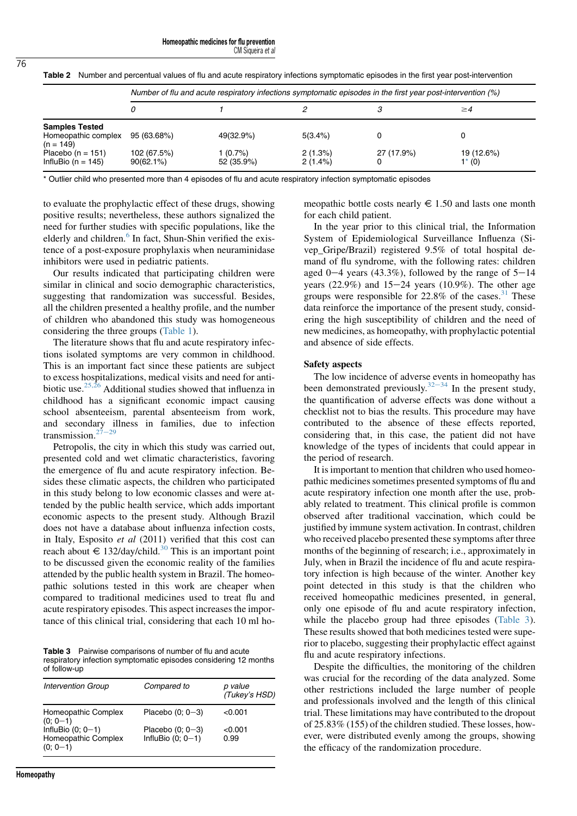CM Siqueira et al

|                                                             | Number of flu and acute respiratory infections symptomatic episodes in the first year post-intervention (%) |                        |                       |            |                         |  |
|-------------------------------------------------------------|-------------------------------------------------------------------------------------------------------------|------------------------|-----------------------|------------|-------------------------|--|
|                                                             |                                                                                                             |                        |                       |            | $\geq 4$                |  |
| <b>Samples Tested</b><br>Homeopathic complex<br>$(n = 149)$ | 95 (63.68%)                                                                                                 | 49(32.9%)              | 5(3.4%)               |            |                         |  |
| Placebo ( $n = 151$ )<br>InfluBio ( $n = 145$ )             | 102 (67.5%)<br>$90(62.1\%)$                                                                                 | 1 (0.7%)<br>52 (35.9%) | 2(1.3%)<br>$2(1.4\%)$ | 27 (17.9%) | 19 (12.6%)<br>$1^*$ (0) |  |

<span id="page-5-0"></span>Table 2 Number and percentual values of flu and acute respiratory infections symptomatic episodes in the first year post-intervention

Outlier child who presented more than 4 episodes of flu and acute respiratory infection symptomatic episodes

to evaluate the prophylactic effect of these drugs, showing positive results; nevertheless, these authors signalized the need for further studies with specific populations, like the elderly and children.<sup>[6](#page-6-0)</sup> In fact, Shun-Shin verified the existence of a post-exposure prophylaxis when neuraminidase inhibitors were used in pediatric patients.

Our results indicated that participating children were similar in clinical and socio demographic characteristics, suggesting that randomization was successful. Besides, all the children presented a healthy profile, and the number of children who abandoned this study was homogeneous considering the three groups [\(Table 1\)](#page-4-0).

The literature shows that flu and acute respiratory infections isolated symptoms are very common in childhood. This is an important fact since these patients are subject to excess hospitalizations, medical visits and need for antibiotic use.[25,26](#page-6-0) Additional studies showed that influenza in childhood has a significant economic impact causing school absenteeism, parental absenteeism from work, and secondary illness in families, due to infection transmission. $27$ 

Petropolis, the city in which this study was carried out, presented cold and wet climatic characteristics, favoring the emergence of flu and acute respiratory infection. Besides these climatic aspects, the children who participated in this study belong to low economic classes and were attended by the public health service, which adds important economic aspects to the present study. Although Brazil does not have a database about influenza infection costs, in Italy, Esposito et al (2011) verified that this cost can reach about  $\in$  132/day/child.<sup>[30](#page-6-0)</sup> This is an important point to be discussed given the economic reality of the families attended by the public health system in Brazil. The homeopathic solutions tested in this work are cheaper when compared to traditional medicines used to treat flu and acute respiratory episodes. This aspect increases the importance of this clinical trial, considering that each 10 ml ho-

Table 3 Pairwise comparisons of number of flu and acute respiratory infection symptomatic episodes considering 12 months of follow-up

| <b>Intervention Group</b>                                | Compared to                               | p value<br>(Tukey's HSD) |
|----------------------------------------------------------|-------------------------------------------|--------------------------|
| Homeopathic Complex<br>$(0; 0-1)$                        | Placebo $(0; 0-3)$                        | < 0.001                  |
| InfluBio $(0; 0-1)$<br>Homeopathic Complex<br>$(0; 0-1)$ | Placebo $(0; 0-3)$<br>InfluBio $(0; 0-1)$ | < 0.001<br>0.99          |

meopathic bottle costs nearly  $\epsilon$  1.50 and lasts one month for each child patient.

In the year prior to this clinical trial, the Information System of Epidemiological Surveillance Influenza (Sivep\_Gripe/Brazil) registered 9.5% of total hospital demand of flu syndrome, with the following rates: children aged  $0-4$  years (43.3%), followed by the range of  $5-14$ years (22.9%) and  $15-24$  years (10.9%). The other age groups were responsible for  $22.8\%$  of the cases.<sup>31</sup> These data reinforce the importance of the present study, considering the high susceptibility of children and the need of new medicines, as homeopathy, with prophylactic potential and absence of side effects.

#### Safety aspects

The low incidence of adverse events in homeopathy has been demonstrated previously.<sup>[32](#page-6-0)–[34](#page-6-0)</sup> In the present study, the quantification of adverse effects was done without a checklist not to bias the results. This procedure may have contributed to the absence of these effects reported, considering that, in this case, the patient did not have knowledge of the types of incidents that could appear in the period of research.

It is important to mention that children who used homeopathic medicines sometimes presented symptoms of flu and acute respiratory infection one month after the use, probably related to treatment. This clinical profile is common observed after traditional vaccination, which could be justified by immune system activation. In contrast, children who received placebo presented these symptoms after three months of the beginning of research; i.e., approximately in July, when in Brazil the incidence of flu and acute respiratory infection is high because of the winter. Another key point detected in this study is that the children who received homeopathic medicines presented, in general, only one episode of flu and acute respiratory infection, while the placebo group had three episodes (Table 3). These results showed that both medicines tested were superior to placebo, suggesting their prophylactic effect against flu and acute respiratory infections.

Despite the difficulties, the monitoring of the children was crucial for the recording of the data analyzed. Some other restrictions included the large number of people and professionals involved and the length of this clinical trial. These limitations may have contributed to the dropout of 25.83% (155) of the children studied. These losses, however, were distributed evenly among the groups, showing the efficacy of the randomization procedure.